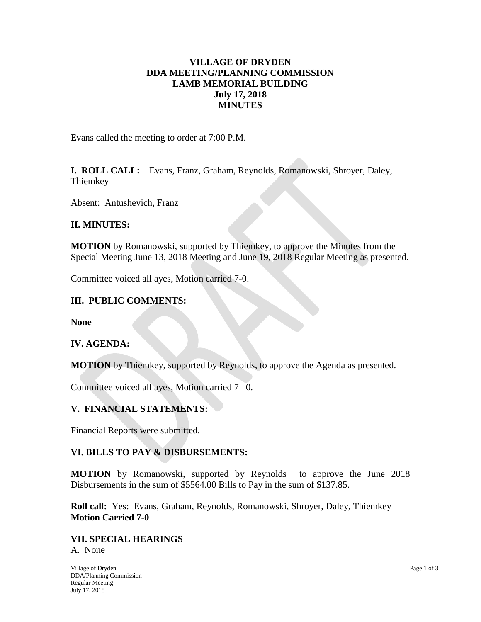# **VILLAGE OF DRYDEN DDA MEETING/PLANNING COMMISSION LAMB MEMORIAL BUILDING July 17, 2018 MINUTES**

Evans called the meeting to order at 7:00 P.M.

**I. ROLL CALL:** Evans, Franz, Graham, Reynolds, Romanowski, Shroyer, Daley, Thiemkey

Absent: Antushevich, Franz

# **II. MINUTES:**

**MOTION** by Romanowski, supported by Thiemkey, to approve the Minutes from the Special Meeting June 13, 2018 Meeting and June 19, 2018 Regular Meeting as presented.

Committee voiced all ayes, Motion carried 7-0.

# **III. PUBLIC COMMENTS:**

**None**

## **IV. AGENDA:**

**MOTION** by Thiemkey, supported by Reynolds, to approve the Agenda as presented.

Committee voiced all ayes, Motion carried 7– 0.

## **V. FINANCIAL STATEMENTS:**

Financial Reports were submitted.

## **VI. BILLS TO PAY & DISBURSEMENTS:**

**MOTION** by Romanowski, supported by Reynolds to approve the June 2018 Disbursements in the sum of \$5564.00 Bills to Pay in the sum of \$137.85.

**Roll call:** Yes: Evans, Graham, Reynolds, Romanowski, Shroyer, Daley, Thiemkey **Motion Carried 7-0**

## **VII. SPECIAL HEARINGS**

A. None

Village of Dryden Page 1 of 3 DDA/Planning Commission Regular Meeting July 17, 2018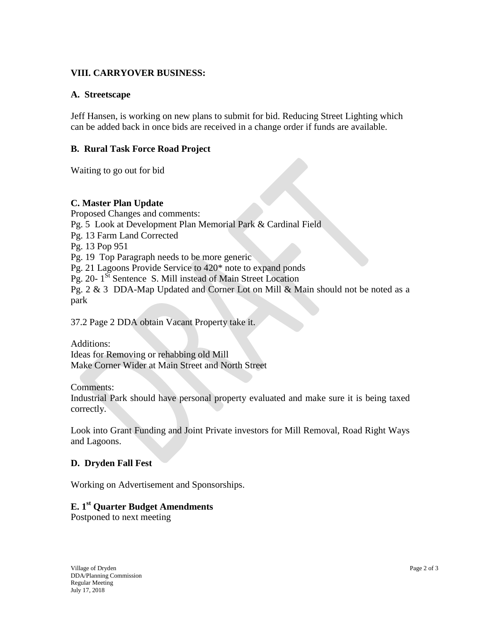# **VIII. CARRYOVER BUSINESS:**

## **A. Streetscape**

Jeff Hansen, is working on new plans to submit for bid. Reducing Street Lighting which can be added back in once bids are received in a change order if funds are available.

## **B. Rural Task Force Road Project**

Waiting to go out for bid

#### **C. Master Plan Update**

Proposed Changes and comments: Pg. 5 Look at Development Plan Memorial Park & Cardinal Field Pg. 13 Farm Land Corrected Pg. 13 Pop 951 Pg. 19 Top Paragraph needs to be more generic Pg. 21 Lagoons Provide Service to 420\* note to expand ponds Pg. 20-1<sup>St</sup> Sentence S. Mill instead of Main Street Location Pg. 2 & 3 DDA-Map Updated and Corner Lot on Mill & Main should not be noted as a park

37.2 Page 2 DDA obtain Vacant Property take it.

Additions: Ideas for Removing or rehabbing old Mill Make Corner Wider at Main Street and North Street

Comments:

Industrial Park should have personal property evaluated and make sure it is being taxed correctly.

Look into Grant Funding and Joint Private investors for Mill Removal, Road Right Ways and Lagoons.

#### **D. Dryden Fall Fest**

Working on Advertisement and Sponsorships.

# **E. 1 st Quarter Budget Amendments**

Postponed to next meeting